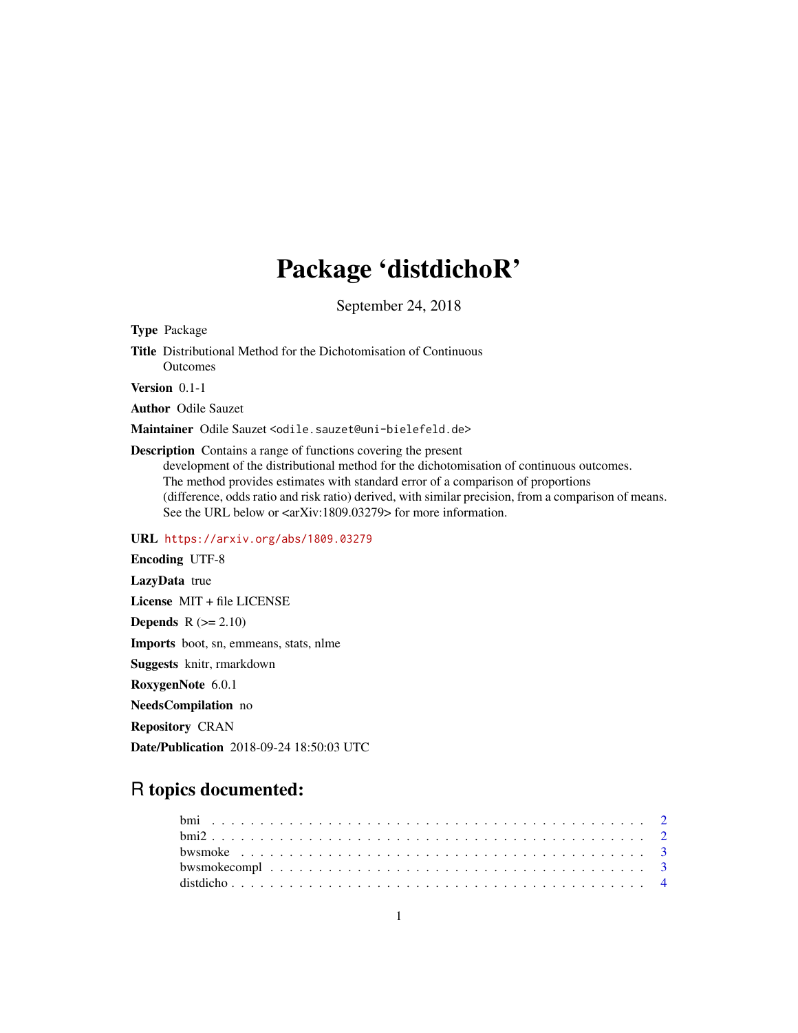# Package 'distdichoR'

September 24, 2018

<span id="page-0-0"></span>Type Package

Title Distributional Method for the Dichotomisation of Continuous **Outcomes** 

Version 0.1-1

Author Odile Sauzet

Maintainer Odile Sauzet <odile.sauzet@uni-bielefeld.de>

Description Contains a range of functions covering the present

development of the distributional method for the dichotomisation of continuous outcomes. The method provides estimates with standard error of a comparison of proportions (difference, odds ratio and risk ratio) derived, with similar precision, from a comparison of means. See the URL below or  $\langle \text{arXiv:1809.03279} \rangle$  for more information.

URL <https://arxiv.org/abs/1809.03279>

Encoding UTF-8 LazyData true License MIT + file LICENSE Depends  $R$  ( $>= 2.10$ ) Imports boot, sn, emmeans, stats, nlme Suggests knitr, rmarkdown RoxygenNote 6.0.1 NeedsCompilation no Repository CRAN Date/Publication 2018-09-24 18:50:03 UTC

## R topics documented: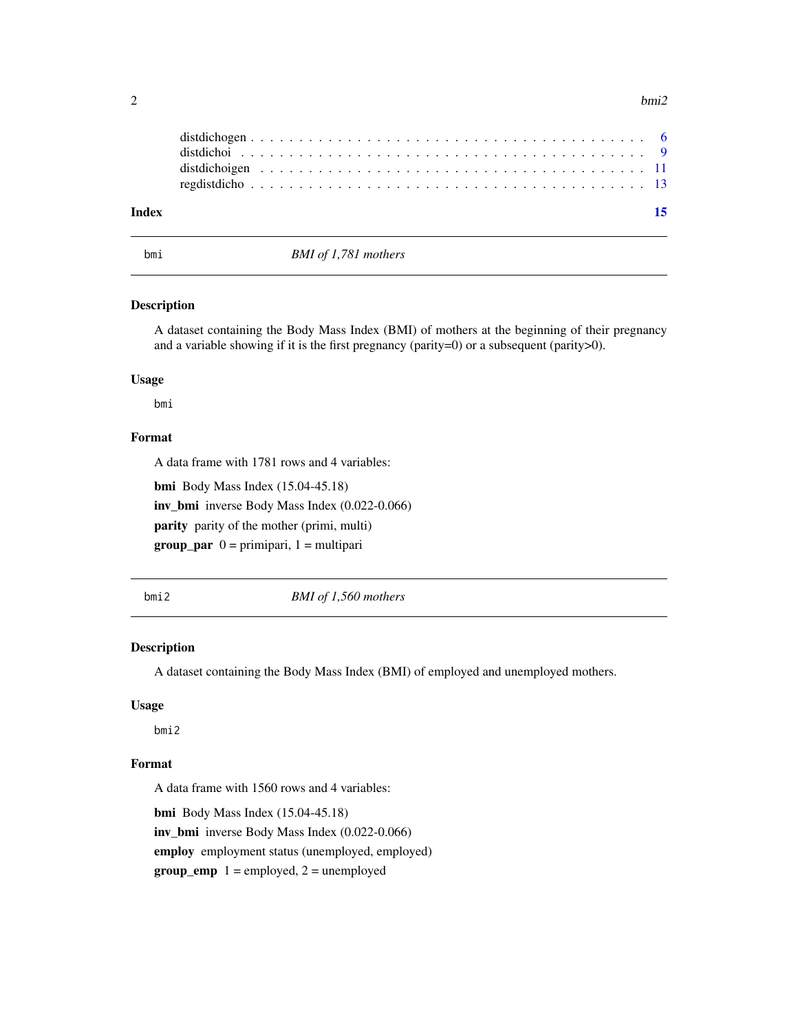<span id="page-1-0"></span>

| - 15 |  |
|------|--|
|      |  |
|      |  |
|      |  |
|      |  |
|      |  |

bmi *BMI of 1,781 mothers*

#### Description

A dataset containing the Body Mass Index (BMI) of mothers at the beginning of their pregnancy and a variable showing if it is the first pregnancy (parity=0) or a subsequent (parity>0).

## Usage

bmi

### Format

A data frame with 1781 rows and 4 variables:

bmi Body Mass Index (15.04-45.18)

inv\_bmi inverse Body Mass Index (0.022-0.066)

parity parity of the mother (primi, multi)

 $group\_par$   $0 = primipari$ ,  $1 = multipari$ 

bmi2 *BMI of 1,560 mothers*

#### Description

A dataset containing the Body Mass Index (BMI) of employed and unemployed mothers.

#### Usage

bmi2

#### Format

A data frame with 1560 rows and 4 variables:

bmi Body Mass Index (15.04-45.18) inv\_bmi inverse Body Mass Index (0.022-0.066) employ employment status (unemployed, employed)  $group\_emp 1 = employed, 2 = unemployed$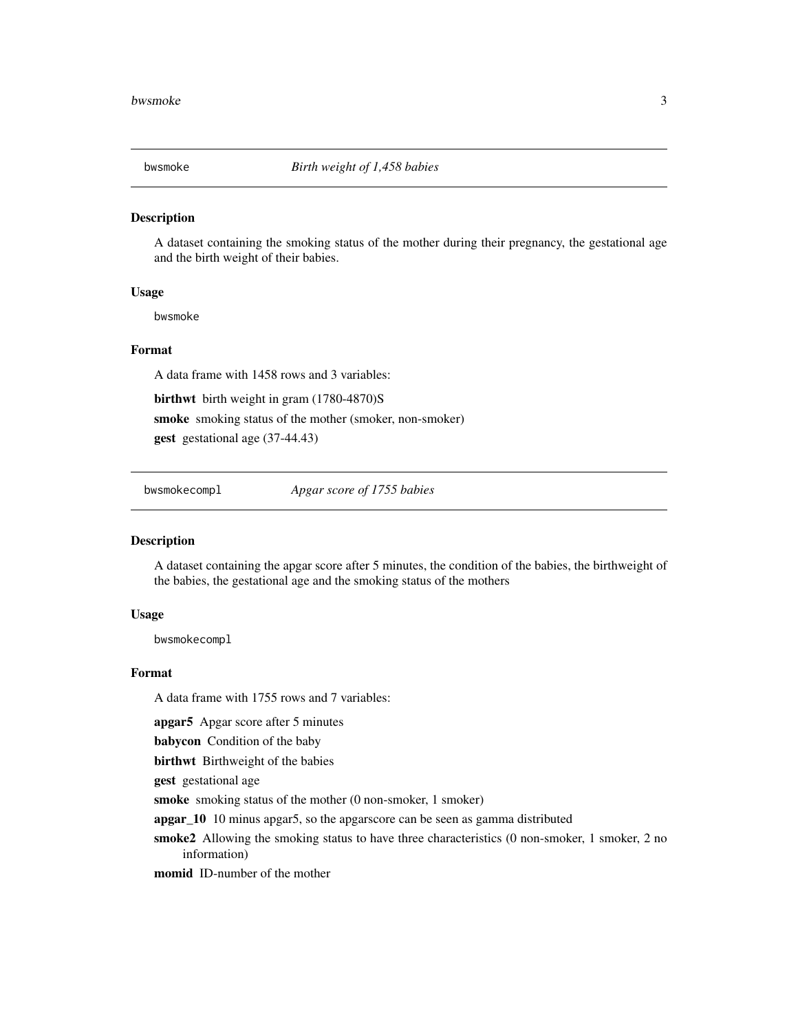<span id="page-2-0"></span>

#### Description

A dataset containing the smoking status of the mother during their pregnancy, the gestational age and the birth weight of their babies.

#### Usage

bwsmoke

#### Format

A data frame with 1458 rows and 3 variables:

birthwt birth weight in gram (1780-4870)S

smoke smoking status of the mother (smoker, non-smoker)

gest gestational age (37-44.43)

bwsmokecompl *Apgar score of 1755 babies*

#### Description

A dataset containing the apgar score after 5 minutes, the condition of the babies, the birthweight of the babies, the gestational age and the smoking status of the mothers

#### Usage

bwsmokecompl

#### Format

A data frame with 1755 rows and 7 variables:

apgar5 Apgar score after 5 minutes

babycon Condition of the baby

birthwt Birthweight of the babies

gest gestational age

smoke smoking status of the mother (0 non-smoker, 1 smoker)

apgar\_10 10 minus apgar5, so the apgarscore can be seen as gamma distributed

smoke2 Allowing the smoking status to have three characteristics (0 non-smoker, 1 smoker, 2 no information)

momid ID-number of the mother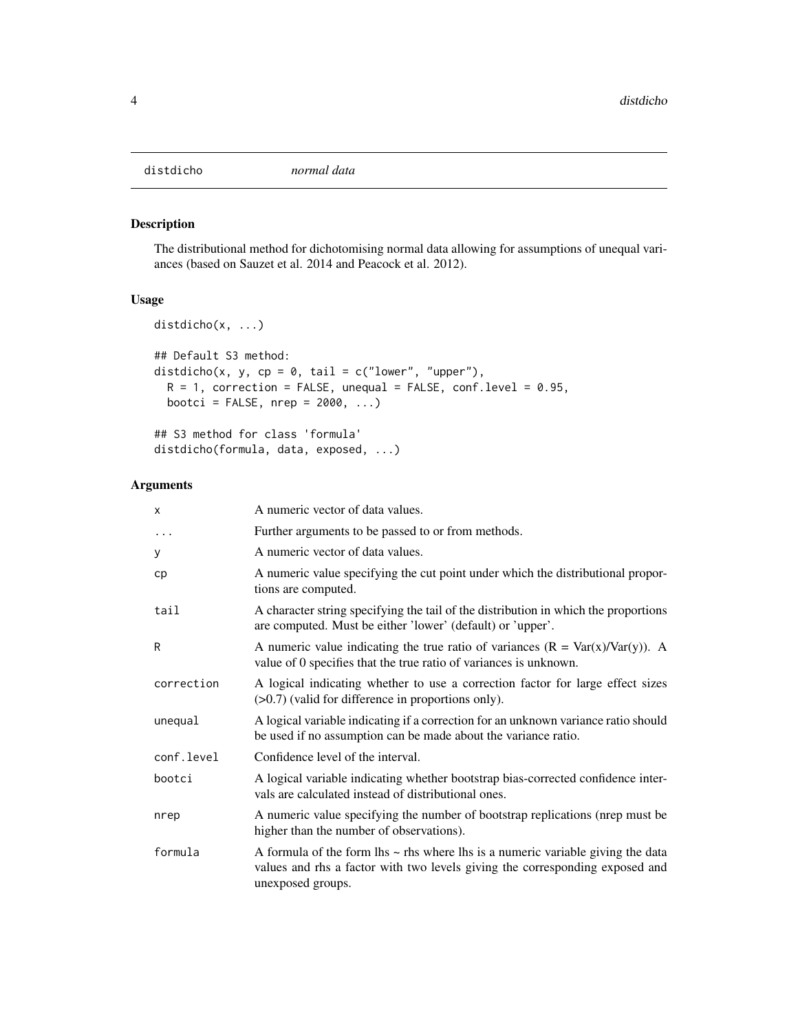<span id="page-3-1"></span><span id="page-3-0"></span>

#### Description

The distributional method for dichotomising normal data allowing for assumptions of unequal variances (based on Sauzet et al. 2014 and Peacock et al. 2012).

#### Usage

```
distdicho(x, ...)
## Default S3 method:
distdicho(x, y, cp = 0, tail = c("lower", "upper"),R = 1, correction = FALSE, unequal = FALSE, conf.level = 0.95,
 bootci = FALSE, nrep = 2000, ...
```
## S3 method for class 'formula' distdicho(formula, data, exposed, ...)

#### Arguments

| x          | A numeric vector of data values.                                                                                                                                                                |
|------------|-------------------------------------------------------------------------------------------------------------------------------------------------------------------------------------------------|
| $\ddots$   | Further arguments to be passed to or from methods.                                                                                                                                              |
| У          | A numeric vector of data values.                                                                                                                                                                |
| cр         | A numeric value specifying the cut point under which the distributional propor-<br>tions are computed.                                                                                          |
| tail       | A character string specifying the tail of the distribution in which the proportions<br>are computed. Must be either 'lower' (default) or 'upper'.                                               |
| R          | A numeric value indicating the true ratio of variances $(R = Var(x)/Var(y))$ . A<br>value of 0 specifies that the true ratio of variances is unknown.                                           |
| correction | A logical indicating whether to use a correction factor for large effect sizes<br>$(>0.7)$ (valid for difference in proportions only).                                                          |
| unequal    | A logical variable indicating if a correction for an unknown variance ratio should<br>be used if no assumption can be made about the variance ratio.                                            |
| conf.level | Confidence level of the interval.                                                                                                                                                               |
| bootci     | A logical variable indicating whether bootstrap bias-corrected confidence inter-<br>vals are calculated instead of distributional ones.                                                         |
| nrep       | A numeric value specifying the number of bootstrap replications (nrep must be<br>higher than the number of observations).                                                                       |
| formula    | A formula of the form $\ln s \sim$ rhs where $\ln s$ is a numeric variable giving the data<br>values and rhs a factor with two levels giving the corresponding exposed and<br>unexposed groups. |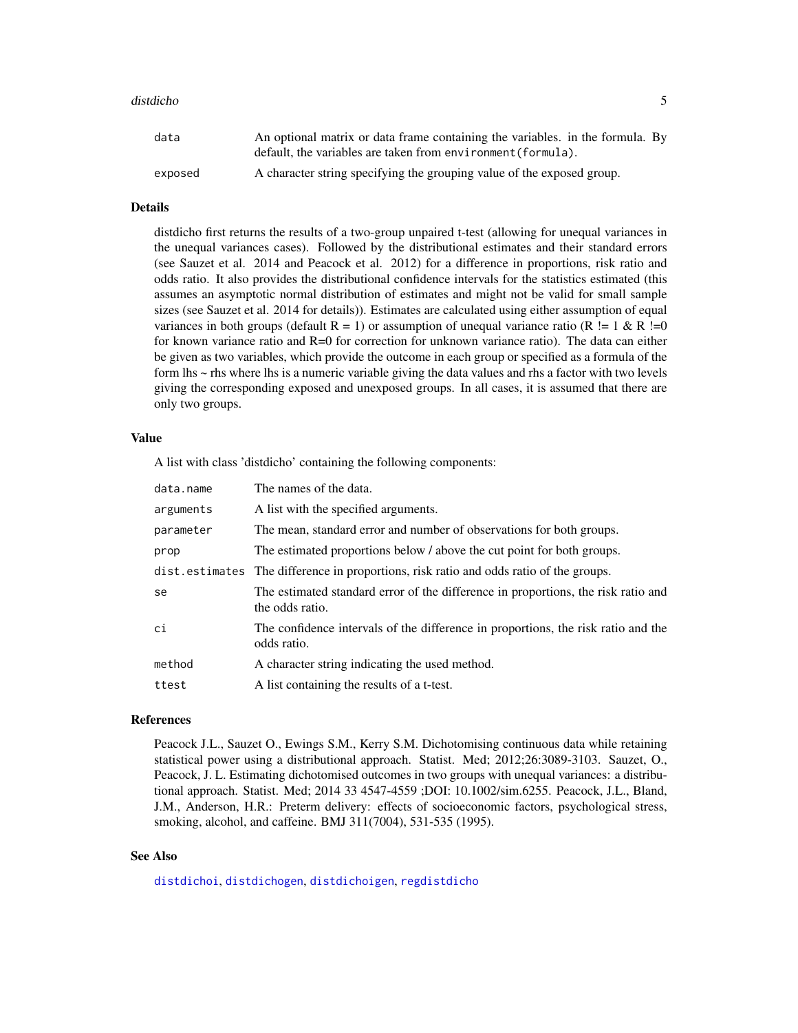#### <span id="page-4-0"></span>distdicho 5

| data    | An optional matrix or data frame containing the variables, in the formula. By |
|---------|-------------------------------------------------------------------------------|
|         | default, the variables are taken from environment (formula).                  |
| exposed | A character string specifying the grouping value of the exposed group.        |

#### Details

distdicho first returns the results of a two-group unpaired t-test (allowing for unequal variances in the unequal variances cases). Followed by the distributional estimates and their standard errors (see Sauzet et al. 2014 and Peacock et al. 2012) for a difference in proportions, risk ratio and odds ratio. It also provides the distributional confidence intervals for the statistics estimated (this assumes an asymptotic normal distribution of estimates and might not be valid for small sample sizes (see Sauzet et al. 2014 for details)). Estimates are calculated using either assumption of equal variances in both groups (default  $R = 1$ ) or assumption of unequal variance ratio (R != 1 & R !=0 for known variance ratio and  $R=0$  for correction for unknown variance ratio). The data can either be given as two variables, which provide the outcome in each group or specified as a formula of the form lhs ~ rhs where lhs is a numeric variable giving the data values and rhs a factor with two levels giving the corresponding exposed and unexposed groups. In all cases, it is assumed that there are only two groups.

#### Value

A list with class 'distdicho' containing the following components:

| data.name | The names of the data.                                                                               |
|-----------|------------------------------------------------------------------------------------------------------|
| arguments | A list with the specified arguments.                                                                 |
| parameter | The mean, standard error and number of observations for both groups.                                 |
| prop      | The estimated proportions below / above the cut point for both groups.                               |
|           | dist. estimates The difference in proportions, risk ratio and odds ratio of the groups.              |
| se        | The estimated standard error of the difference in proportions, the risk ratio and<br>the odds ratio. |
| ci        | The confidence intervals of the difference in proportions, the risk ratio and the<br>odds ratio.     |
| method    | A character string indicating the used method.                                                       |
| ttest     | A list containing the results of a t-test.                                                           |

#### References

Peacock J.L., Sauzet O., Ewings S.M., Kerry S.M. Dichotomising continuous data while retaining statistical power using a distributional approach. Statist. Med; 2012;26:3089-3103. Sauzet, O., Peacock, J. L. Estimating dichotomised outcomes in two groups with unequal variances: a distributional approach. Statist. Med; 2014 33 4547-4559 ;DOI: 10.1002/sim.6255. Peacock, J.L., Bland, J.M., Anderson, H.R.: Preterm delivery: effects of socioeconomic factors, psychological stress, smoking, alcohol, and caffeine. BMJ 311(7004), 531-535 (1995).

#### See Also

[distdichoi](#page-8-1), [distdichogen](#page-5-1), [distdichoigen](#page-10-1), [regdistdicho](#page-12-1)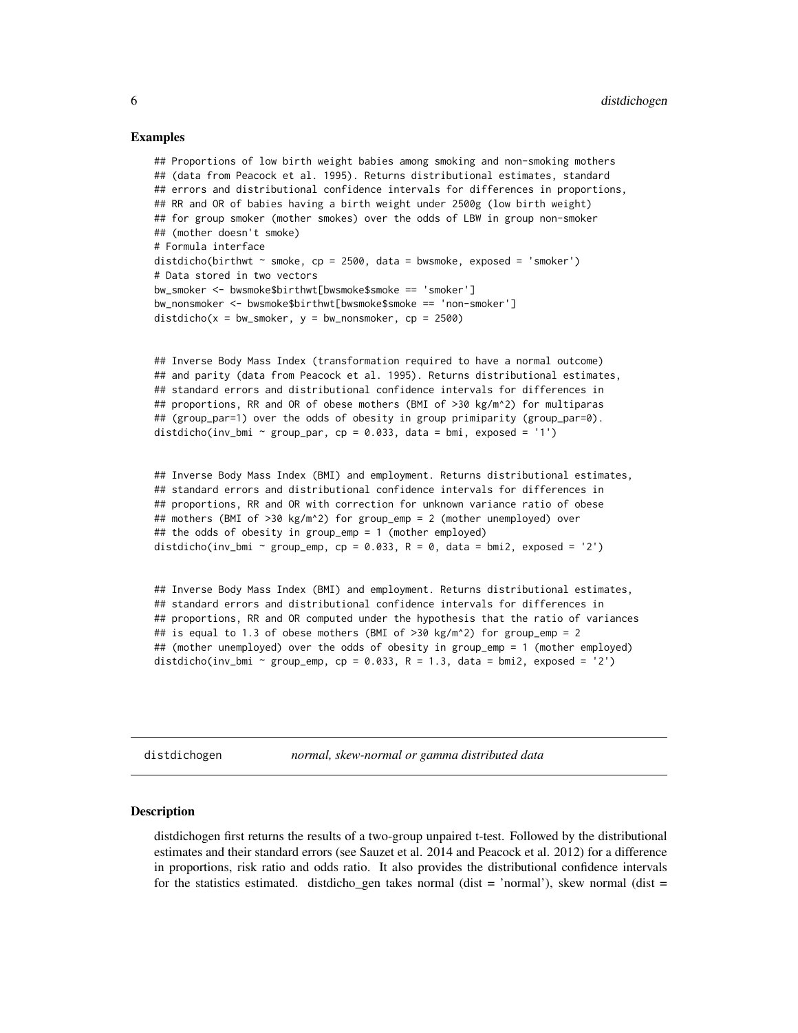#### <span id="page-5-0"></span>Examples

```
## Proportions of low birth weight babies among smoking and non-smoking mothers
## (data from Peacock et al. 1995). Returns distributional estimates, standard
## errors and distributional confidence intervals for differences in proportions,
## RR and OR of babies having a birth weight under 2500g (low birth weight)
## for group smoker (mother smokes) over the odds of LBW in group non-smoker
## (mother doesn't smoke)
# Formula interface
distdicho(birthwt \sim smoke, cp = 2500, data = bwsmoke, exposed = 'smoker')
# Data stored in two vectors
bw smoker <- bwsmoke$birthwt[bwsmoke$smoke == 'smoker']
bw_nonsmoker <- bwsmoke$birthwt[bwsmoke$smoke == 'non-smoker']
distdicho(x = bw_{smoker}, y = bw_{nonsmoker}, cp = 2500)
```

```
## Inverse Body Mass Index (transformation required to have a normal outcome)
## and parity (data from Peacock et al. 1995). Returns distributional estimates,
## standard errors and distributional confidence intervals for differences in
## proportions, RR and OR of obese mothers (BMI of >30 kg/m^2) for multiparas
## (group_par=1) over the odds of obesity in group primiparity (group_par=0).
distdicho(inv_bmi ~ group_par, cp = 0.033, data = bmi, exposed = '1')
```

```
## Inverse Body Mass Index (BMI) and employment. Returns distributional estimates,
## standard errors and distributional confidence intervals for differences in
## proportions, RR and OR with correction for unknown variance ratio of obese
## mothers (BMI of >30 kg/m^2) for group_emp = 2 (mother unemployed) over
## the odds of obesity in group_emp = 1 (mother employed)
distdicho(inv_bmi ~ group_emp, cp = 0.033, R = 0, data = bmi2, exposed = '2')
```

```
## Inverse Body Mass Index (BMI) and employment. Returns distributional estimates,
## standard errors and distributional confidence intervals for differences in
## proportions, RR and OR computed under the hypothesis that the ratio of variances
## is equal to 1.3 of obese mothers (BMI of >30 kg/m^2) for group_emp = 2
## (mother unemployed) over the odds of obesity in group_emp = 1 (mother employed)
distdicho(inv_bmi ~ group_emp, cp = 0.033, R = 1.3, data = bmi2, exposed = '2')
```
<span id="page-5-1"></span>distdichogen *normal, skew-normal or gamma distributed data*

#### Description

distdichogen first returns the results of a two-group unpaired t-test. Followed by the distributional estimates and their standard errors (see Sauzet et al. 2014 and Peacock et al. 2012) for a difference in proportions, risk ratio and odds ratio. It also provides the distributional confidence intervals for the statistics estimated. distdicho\_gen takes normal (dist = 'normal'), skew normal (dist =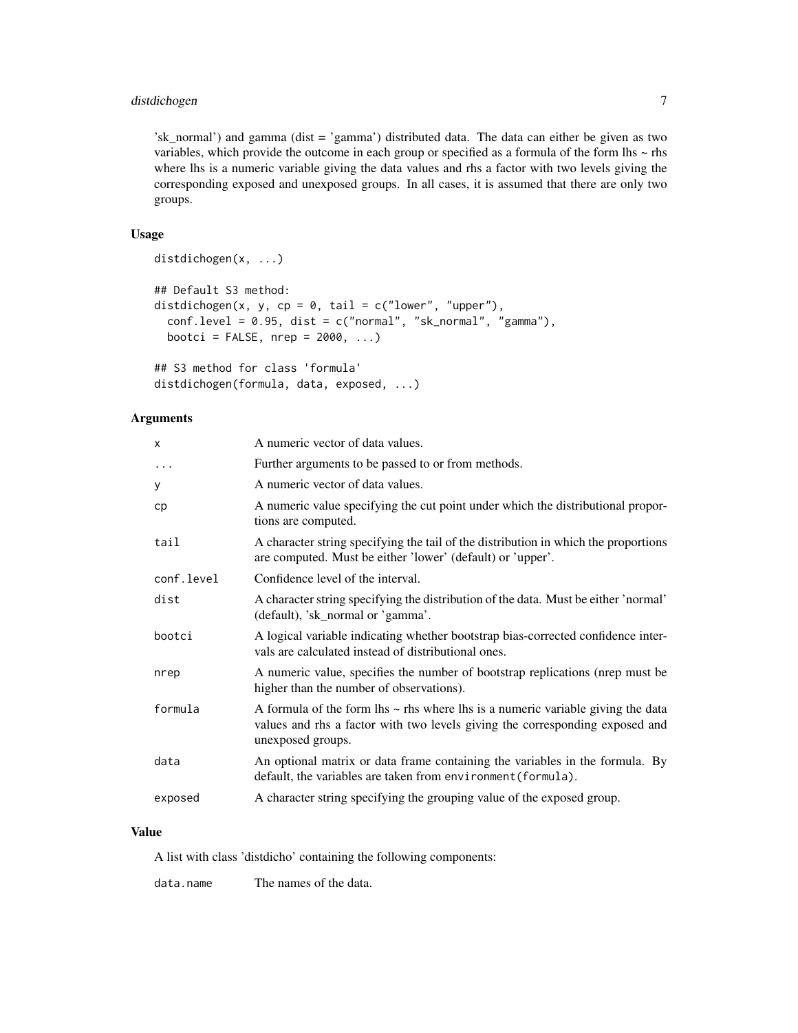#### distdichogen 7

'sk\_normal') and gamma (dist = 'gamma') distributed data. The data can either be given as two variables, which provide the outcome in each group or specified as a formula of the form lhs ~ rhs where lhs is a numeric variable giving the data values and rhs a factor with two levels giving the corresponding exposed and unexposed groups. In all cases, it is assumed that there are only two groups.

#### Usage

```
distdichogen(x, ...)
## Default S3 method:
distdichogen(x, y, cp = 0, tail = c("lower", "upper"),conf. level = 0.95, dist = c("normal", "sk-normal", "gamma",bootci = FALSE, nrep = 2000, ...
```

```
## S3 method for class 'formula'
distdichogen(formula, data, exposed, ...)
```
#### Arguments

| X          | A numeric vector of data values.                                                                                                                                                          |
|------------|-------------------------------------------------------------------------------------------------------------------------------------------------------------------------------------------|
| $\cdots$   | Further arguments to be passed to or from methods.                                                                                                                                        |
| У          | A numeric vector of data values.                                                                                                                                                          |
| cp         | A numeric value specifying the cut point under which the distributional propor-<br>tions are computed.                                                                                    |
| tail       | A character string specifying the tail of the distribution in which the proportions<br>are computed. Must be either 'lower' (default) or 'upper'.                                         |
| conf.level | Confidence level of the interval.                                                                                                                                                         |
| dist       | A character string specifying the distribution of the data. Must be either 'normal'<br>(default), 'sk_normal or 'gamma'.                                                                  |
| bootci     | A logical variable indicating whether bootstrap bias-corrected confidence inter-<br>vals are calculated instead of distributional ones.                                                   |
| nrep       | A numeric value, specifies the number of bootstrap replications (nrep must be<br>higher than the number of observations).                                                                 |
| formula    | A formula of the form lhs $\sim$ rhs where lhs is a numeric variable giving the data<br>values and rhs a factor with two levels giving the corresponding exposed and<br>unexposed groups. |
| data       | An optional matrix or data frame containing the variables in the formula. By<br>default, the variables are taken from environment (formula).                                              |
| exposed    | A character string specifying the grouping value of the exposed group.                                                                                                                    |

#### Value

A list with class 'distdicho' containing the following components:

data.name The names of the data.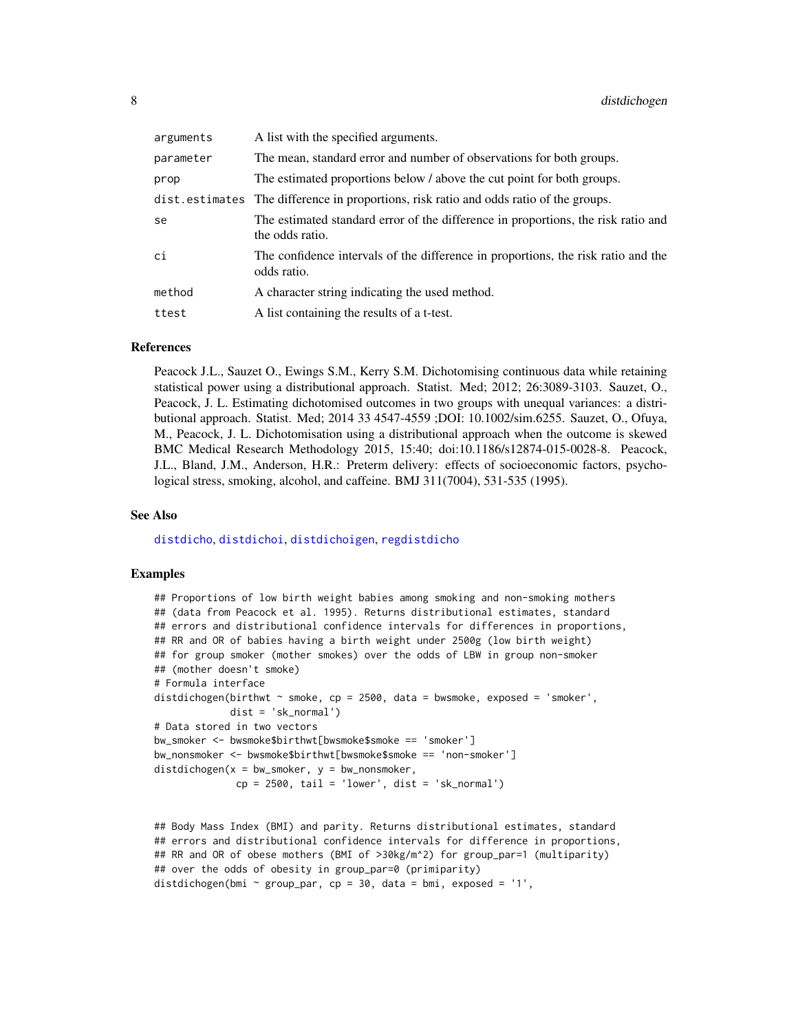<span id="page-7-0"></span>

| arguments | A list with the specified arguments.                                                                 |
|-----------|------------------------------------------------------------------------------------------------------|
| parameter | The mean, standard error and number of observations for both groups.                                 |
| prop      | The estimated proportions below / above the cut point for both groups.                               |
|           | dist. estimates The difference in proportions, risk ratio and odds ratio of the groups.              |
| se        | The estimated standard error of the difference in proportions, the risk ratio and<br>the odds ratio. |
| сi        | The confidence intervals of the difference in proportions, the risk ratio and the<br>odds ratio.     |
| method    | A character string indicating the used method.                                                       |
| ttest     | A list containing the results of a t-test.                                                           |

#### References

Peacock J.L., Sauzet O., Ewings S.M., Kerry S.M. Dichotomising continuous data while retaining statistical power using a distributional approach. Statist. Med; 2012; 26:3089-3103. Sauzet, O., Peacock, J. L. Estimating dichotomised outcomes in two groups with unequal variances: a distributional approach. Statist. Med; 2014 33 4547-4559 ;DOI: 10.1002/sim.6255. Sauzet, O., Ofuya, M., Peacock, J. L. Dichotomisation using a distributional approach when the outcome is skewed BMC Medical Research Methodology 2015, 15:40; doi:10.1186/s12874-015-0028-8. Peacock, J.L., Bland, J.M., Anderson, H.R.: Preterm delivery: effects of socioeconomic factors, psychological stress, smoking, alcohol, and caffeine. BMJ 311(7004), 531-535 (1995).

#### See Also

[distdicho](#page-3-1), [distdichoi](#page-8-1), [distdichoigen](#page-10-1), [regdistdicho](#page-12-1)

#### Examples

```
## Proportions of low birth weight babies among smoking and non-smoking mothers
## (data from Peacock et al. 1995). Returns distributional estimates, standard
## errors and distributional confidence intervals for differences in proportions,
## RR and OR of babies having a birth weight under 2500g (low birth weight)
## for group smoker (mother smokes) over the odds of LBW in group non-smoker
## (mother doesn't smoke)
# Formula interface
distdichogen(birthwt \sim smoke, cp = 2500, data = bwsmoke, exposed = 'smoker',
             dist = 'sk_normal')
# Data stored in two vectors
bw_smoker <- bwsmoke$birthwt[bwsmoke$smoke == 'smoker']
bw_nonsmoker <- bwsmoke$birthwt[bwsmoke$smoke == 'non-smoker']
distdichogen(x = bw_5moker, y = bw_7nonsmoker,
             cp = 2500, tail = 'lower', dist = 'sk\_normal')
```

```
## Body Mass Index (BMI) and parity. Returns distributional estimates, standard
## errors and distributional confidence intervals for difference in proportions,
## RR and OR of obese mothers (BMI of >30kg/m^2) for group_par=1 (multiparity)
## over the odds of obesity in group_par=0 (primiparity)
distdichogen(bmi \sim group_par, cp = 30, data = bmi, exposed = '1',
```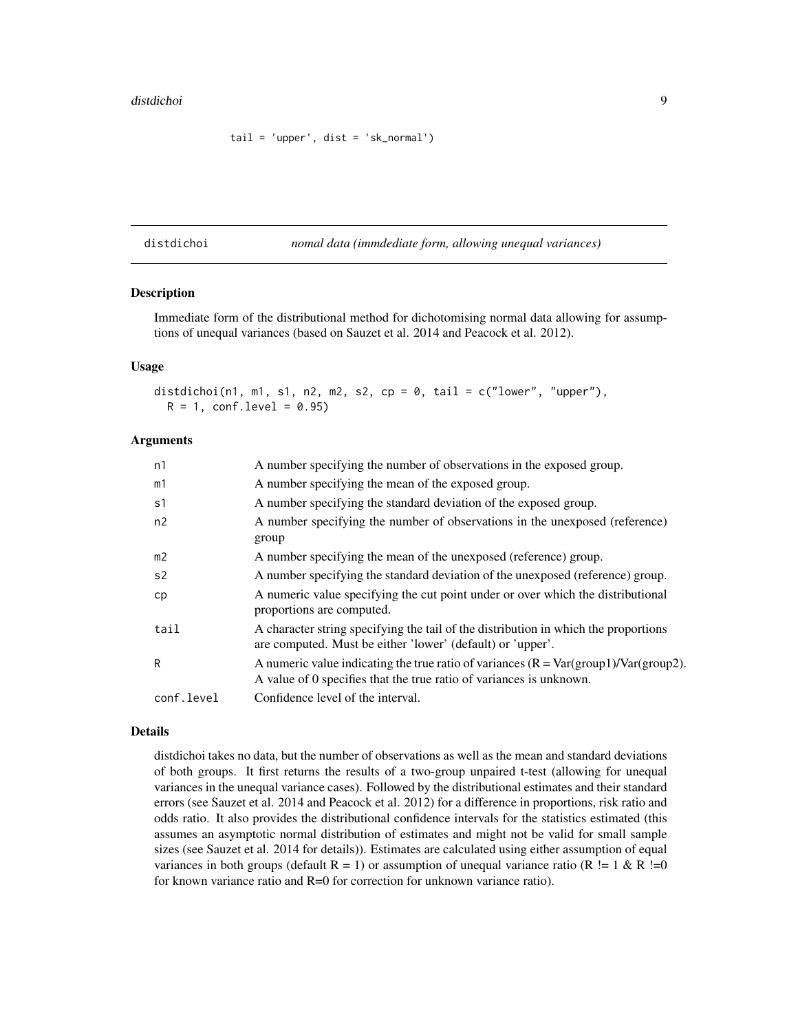```
tail = 'upper', dist = 'sk_normal')
```
<span id="page-8-1"></span>distdichoi *nomal data (immdediate form, allowing unequal variances)*

### Description

Immediate form of the distributional method for dichotomising normal data allowing for assumptions of unequal variances (based on Sauzet et al. 2014 and Peacock et al. 2012).

#### Usage

```
distdichoi(n1, m1, s1, n2, m2, s2, cp = 0, tail = c("lower", "upper"),R = 1, conf.level = 0.95)
```
#### Arguments

| n1             | A number specifying the number of observations in the exposed group.                                                                                          |
|----------------|---------------------------------------------------------------------------------------------------------------------------------------------------------------|
| m1             | A number specifying the mean of the exposed group.                                                                                                            |
| s1             | A number specifying the standard deviation of the exposed group.                                                                                              |
| n2             | A number specifying the number of observations in the unexposed (reference)<br>group                                                                          |
| m <sub>2</sub> | A number specifying the mean of the unexposed (reference) group.                                                                                              |
| s <sub>2</sub> | A number specifying the standard deviation of the unexposed (reference) group.                                                                                |
| cp             | A numeric value specifying the cut point under or over which the distributional<br>proportions are computed.                                                  |
| tail           | A character string specifying the tail of the distribution in which the proportions<br>are computed. Must be either 'lower' (default) or 'upper'.             |
| R              | A numeric value indicating the true ratio of variances $(R = Var(group)/Var(group2)$ .<br>A value of 0 specifies that the true ratio of variances is unknown. |
| conf.level     | Confidence level of the interval.                                                                                                                             |
|                |                                                                                                                                                               |

#### Details

distdichoi takes no data, but the number of observations as well as the mean and standard deviations of both groups. It first returns the results of a two-group unpaired t-test (allowing for unequal variances in the unequal variance cases). Followed by the distributional estimates and their standard errors (see Sauzet et al. 2014 and Peacock et al. 2012) for a difference in proportions, risk ratio and odds ratio. It also provides the distributional confidence intervals for the statistics estimated (this assumes an asymptotic normal distribution of estimates and might not be valid for small sample sizes (see Sauzet et al. 2014 for details)). Estimates are calculated using either assumption of equal variances in both groups (default  $R = 1$ ) or assumption of unequal variance ratio  $(R \le 1 \& R \le 0)$ for known variance ratio and R=0 for correction for unknown variance ratio).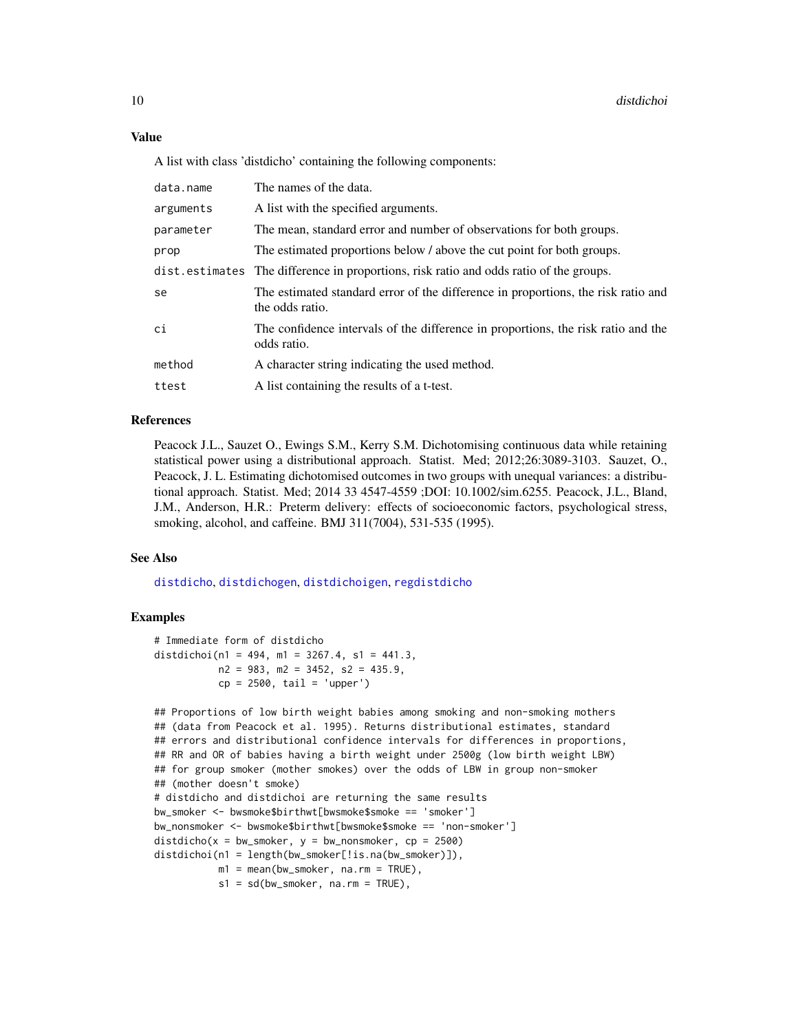#### <span id="page-9-0"></span>Value

A list with class 'distdicho' containing the following components:

| data.name | The names of the data.                                                                               |
|-----------|------------------------------------------------------------------------------------------------------|
| arguments | A list with the specified arguments.                                                                 |
| parameter | The mean, standard error and number of observations for both groups.                                 |
| prop      | The estimated proportions below / above the cut point for both groups.                               |
|           | dist. estimates The difference in proportions, risk ratio and odds ratio of the groups.              |
| se        | The estimated standard error of the difference in proportions, the risk ratio and<br>the odds ratio. |
| сi        | The confidence intervals of the difference in proportions, the risk ratio and the<br>odds ratio.     |
| method    | A character string indicating the used method.                                                       |
| ttest     | A list containing the results of a t-test.                                                           |

#### References

Peacock J.L., Sauzet O., Ewings S.M., Kerry S.M. Dichotomising continuous data while retaining statistical power using a distributional approach. Statist. Med; 2012;26:3089-3103. Sauzet, O., Peacock, J. L. Estimating dichotomised outcomes in two groups with unequal variances: a distributional approach. Statist. Med; 2014 33 4547-4559 ;DOI: 10.1002/sim.6255. Peacock, J.L., Bland, J.M., Anderson, H.R.: Preterm delivery: effects of socioeconomic factors, psychological stress, smoking, alcohol, and caffeine. BMJ 311(7004), 531-535 (1995).

#### See Also

[distdicho](#page-3-1), [distdichogen](#page-5-1), [distdichoigen](#page-10-1), [regdistdicho](#page-12-1)

#### Examples

```
# Immediate form of distdicho
distdichoi(n1 = 494, m1 = 3267.4, s1 = 441.3,
          n2 = 983, m2 = 3452, s2 = 435.9,
          cp = 2500, tail = 'upper')
```

```
## Proportions of low birth weight babies among smoking and non-smoking mothers
## (data from Peacock et al. 1995). Returns distributional estimates, standard
## errors and distributional confidence intervals for differences in proportions,
## RR and OR of babies having a birth weight under 2500g (low birth weight LBW)
## for group smoker (mother smokes) over the odds of LBW in group non-smoker
## (mother doesn't smoke)
# distdicho and distdichoi are returning the same results
bw_smoker <- bwsmoke$birthwt[bwsmoke$smoke == 'smoker']
bw_nonsmoker <- bwsmoke$birthwt[bwsmoke$smoke == 'non-smoker']
distdicho(x = bw_smoker, y = bw_nonsmoker, cp = 2500)
distdichoi(n1 = length(bw_smoker[!is.na(bw_smoker)]),
          m1 = mean(bw_smoker, na.rm = TRUE),
          s1 = sd(bw\_smoker, na.rm = TRUE),
```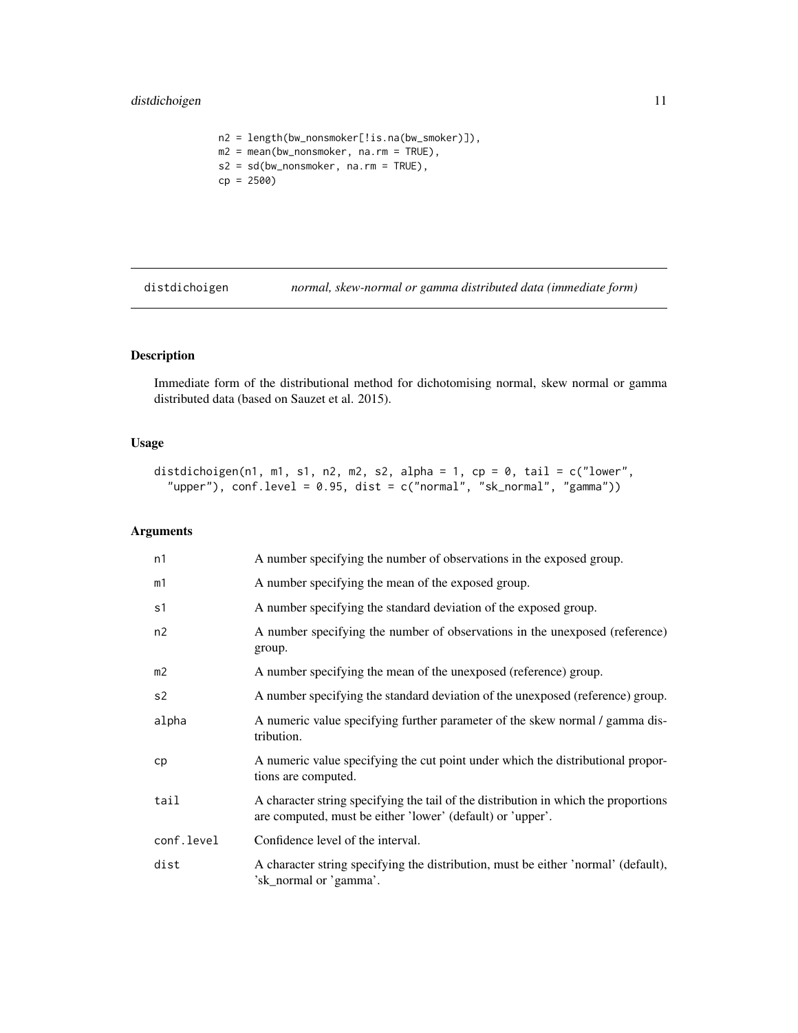#### <span id="page-10-0"></span>distdichoigen 11

```
n2 = length(bw_nonsmoker[!is.na(bw_smoker)]),
m2 = mean(bw_nonsmoker, na.rm = TRUE),
s2 = sd(bw_nnonsmoker, na.rm = TRUE),cp = 2500)
```
<span id="page-10-1"></span>distdichoigen *normal, skew-normal or gamma distributed data (immediate form)*

## Description

Immediate form of the distributional method for dichotomising normal, skew normal or gamma distributed data (based on Sauzet et al. 2015).

#### Usage

```
distdichoigen(n1, m1, s1, n2, m2, s2, alpha = 1, cp = 0, tail = c("lower","upper"), conf. level = 0.95, dist = c("normal", "sk-normal", "gamma")
```
#### Arguments

| n1             | A number specifying the number of observations in the exposed group.                                                                              |
|----------------|---------------------------------------------------------------------------------------------------------------------------------------------------|
| m1             | A number specifying the mean of the exposed group.                                                                                                |
| s1             | A number specifying the standard deviation of the exposed group.                                                                                  |
| n2             | A number specifying the number of observations in the unexposed (reference)<br>group.                                                             |
| m <sub>2</sub> | A number specifying the mean of the unexposed (reference) group.                                                                                  |
| s <sub>2</sub> | A number specifying the standard deviation of the unexposed (reference) group.                                                                    |
| alpha          | A numeric value specifying further parameter of the skew normal / gamma dis-<br>tribution.                                                        |
| cp             | A numeric value specifying the cut point under which the distributional propor-<br>tions are computed.                                            |
| tail           | A character string specifying the tail of the distribution in which the proportions<br>are computed, must be either 'lower' (default) or 'upper'. |
| conf.level     | Confidence level of the interval.                                                                                                                 |
| dist           | A character string specifying the distribution, must be either 'normal' (default),<br>'sk_normal or 'gamma'.                                      |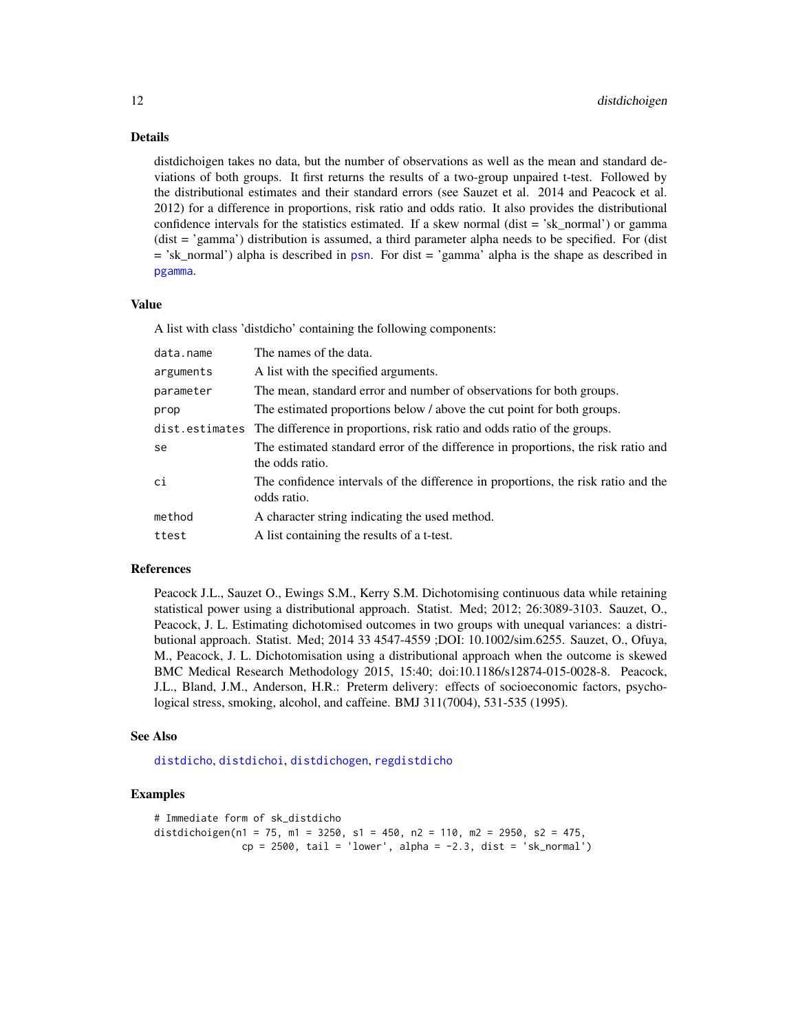#### Details

distdichoigen takes no data, but the number of observations as well as the mean and standard deviations of both groups. It first returns the results of a two-group unpaired t-test. Followed by the distributional estimates and their standard errors (see Sauzet et al. 2014 and Peacock et al. 2012) for a difference in proportions, risk ratio and odds ratio. It also provides the distributional confidence intervals for the statistics estimated. If a skew normal (dist  $=$  'sk\_normal') or gamma (dist = 'gamma') distribution is assumed, a third parameter alpha needs to be specified. For (dist = 'sk\_normal') alpha is described in [psn](#page-0-0). For dist = 'gamma' alpha is the shape as described in [pgamma](#page-0-0).

#### Value

A list with class 'distdicho' containing the following components:

| data.name | The names of the data.                                                                               |
|-----------|------------------------------------------------------------------------------------------------------|
| arguments | A list with the specified arguments.                                                                 |
| parameter | The mean, standard error and number of observations for both groups.                                 |
| prop      | The estimated proportions below / above the cut point for both groups.                               |
|           | dist.estimates The difference in proportions, risk ratio and odds ratio of the groups.               |
| se        | The estimated standard error of the difference in proportions, the risk ratio and<br>the odds ratio. |
| сi        | The confidence intervals of the difference in proportions, the risk ratio and the<br>odds ratio.     |
| method    | A character string indicating the used method.                                                       |
| ttest     | A list containing the results of a t-test.                                                           |

#### References

Peacock J.L., Sauzet O., Ewings S.M., Kerry S.M. Dichotomising continuous data while retaining statistical power using a distributional approach. Statist. Med; 2012; 26:3089-3103. Sauzet, O., Peacock, J. L. Estimating dichotomised outcomes in two groups with unequal variances: a distributional approach. Statist. Med; 2014 33 4547-4559 ;DOI: 10.1002/sim.6255. Sauzet, O., Ofuya, M., Peacock, J. L. Dichotomisation using a distributional approach when the outcome is skewed BMC Medical Research Methodology 2015, 15:40; doi:10.1186/s12874-015-0028-8. Peacock, J.L., Bland, J.M., Anderson, H.R.: Preterm delivery: effects of socioeconomic factors, psychological stress, smoking, alcohol, and caffeine. BMJ 311(7004), 531-535 (1995).

#### See Also

[distdicho](#page-3-1), [distdichoi](#page-8-1), [distdichogen](#page-5-1), [regdistdicho](#page-12-1)

#### Examples

```
# Immediate form of sk_distdicho
distdichoigen(n1 = 75, m1 = 3250, s1 = 450, n2 = 110, m2 = 2950, s2 = 475,
               cp = 2500, tail = 'lower', alpha = -2.3, dist = 'sk_normal')
```
<span id="page-11-0"></span>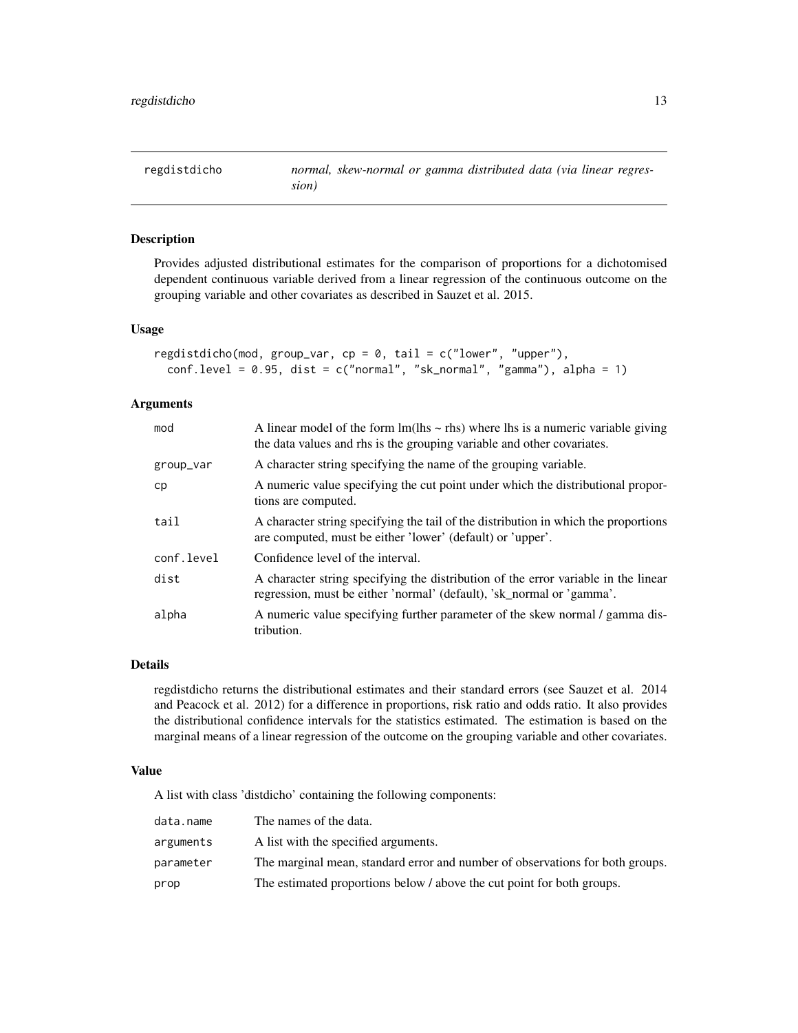<span id="page-12-1"></span><span id="page-12-0"></span>regdistdicho *normal, skew-normal or gamma distributed data (via linear regression)*

#### Description

Provides adjusted distributional estimates for the comparison of proportions for a dichotomised dependent continuous variable derived from a linear regression of the continuous outcome on the grouping variable and other covariates as described in Sauzet et al. 2015.

#### Usage

```
regdistdicho(mod, group_var, cp = 0, tail = c("lower", "upper"),conf.level = 0.95, dist = c("normal", "sk_normal", "gamma"), alpha = 1)
```
#### Arguments

| mod        | A linear model of the form $Im(lhs \sim rhs)$ where lhs is a numeric variable giving<br>the data values and rhs is the grouping variable and other covariates. |
|------------|----------------------------------------------------------------------------------------------------------------------------------------------------------------|
| group_var  | A character string specifying the name of the grouping variable.                                                                                               |
| cp         | A numeric value specifying the cut point under which the distributional propor-<br>tions are computed.                                                         |
| tail       | A character string specifying the tail of the distribution in which the proportions<br>are computed, must be either 'lower' (default) or 'upper'.              |
| conf.level | Confidence level of the interval.                                                                                                                              |
| dist       | A character string specifying the distribution of the error variable in the linear<br>regression, must be either 'normal' (default), 'sk_normal or 'gamma'.    |
| alpha      | A numeric value specifying further parameter of the skew normal / gamma dis-<br>tribution.                                                                     |

#### Details

regdistdicho returns the distributional estimates and their standard errors (see Sauzet et al. 2014 and Peacock et al. 2012) for a difference in proportions, risk ratio and odds ratio. It also provides the distributional confidence intervals for the statistics estimated. The estimation is based on the marginal means of a linear regression of the outcome on the grouping variable and other covariates.

#### Value

A list with class 'distdicho' containing the following components:

| data.name | The names of the data.                                                        |
|-----------|-------------------------------------------------------------------------------|
| arguments | A list with the specified arguments.                                          |
| parameter | The marginal mean, standard error and number of observations for both groups. |
| prop      | The estimated proportions below / above the cut point for both groups.        |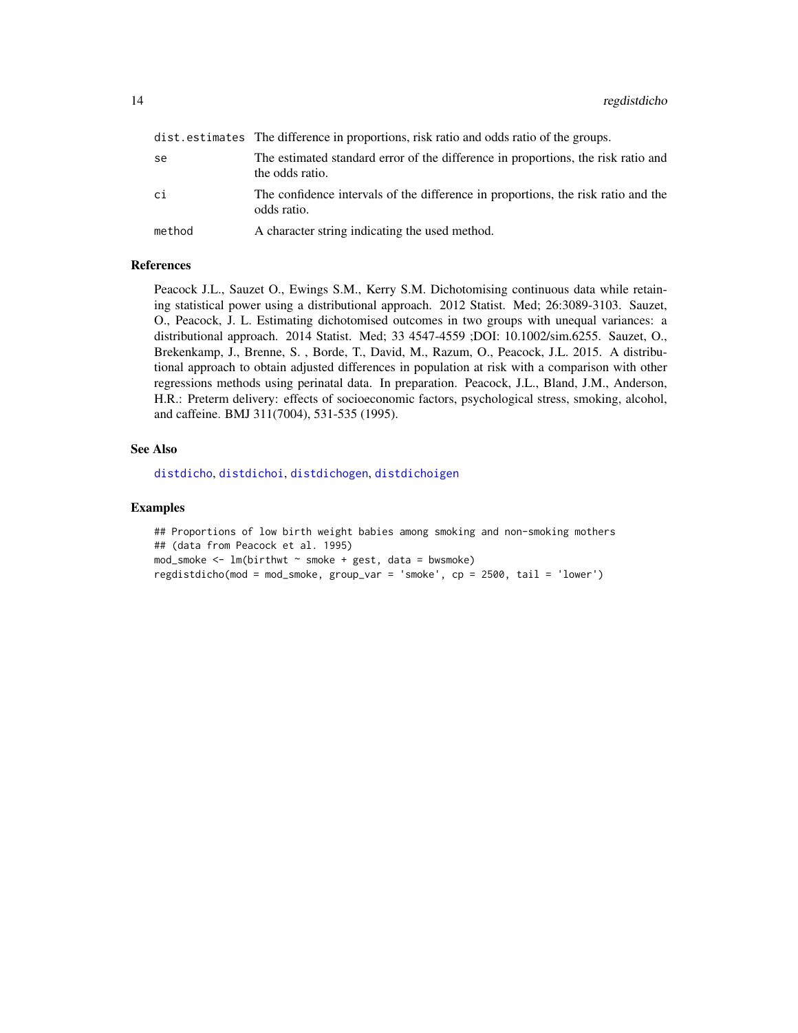<span id="page-13-0"></span>

|        | dist.estimates The difference in proportions, risk ratio and odds ratio of the groups.               |
|--------|------------------------------------------------------------------------------------------------------|
| se     | The estimated standard error of the difference in proportions, the risk ratio and<br>the odds ratio. |
| сi     | The confidence intervals of the difference in proportions, the risk ratio and the<br>odds ratio.     |
| method | A character string indicating the used method.                                                       |

#### References

Peacock J.L., Sauzet O., Ewings S.M., Kerry S.M. Dichotomising continuous data while retaining statistical power using a distributional approach. 2012 Statist. Med; 26:3089-3103. Sauzet, O., Peacock, J. L. Estimating dichotomised outcomes in two groups with unequal variances: a distributional approach. 2014 Statist. Med; 33 4547-4559 ;DOI: 10.1002/sim.6255. Sauzet, O., Brekenkamp, J., Brenne, S. , Borde, T., David, M., Razum, O., Peacock, J.L. 2015. A distributional approach to obtain adjusted differences in population at risk with a comparison with other regressions methods using perinatal data. In preparation. Peacock, J.L., Bland, J.M., Anderson, H.R.: Preterm delivery: effects of socioeconomic factors, psychological stress, smoking, alcohol, and caffeine. BMJ 311(7004), 531-535 (1995).

#### See Also

[distdicho](#page-3-1), [distdichoi](#page-8-1), [distdichogen](#page-5-1), [distdichoigen](#page-10-1)

#### Examples

## Proportions of low birth weight babies among smoking and non-smoking mothers ## (data from Peacock et al. 1995)  $mod\_smoke < - lm(birthwt ~ msmoke + gest, data = bwsmoke)$ regdistdicho(mod = mod\_smoke, group\_var = 'smoke', cp = 2500, tail = 'lower')